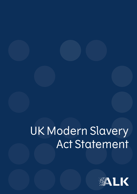# UK Modern Slavery Act Statement

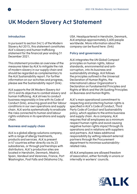# **UK Modern Slavery Act Statement**

# **Introduction**

In pursuant to section 54(1) of the Modern Slavery Act 2015, this statement constitutes ALK's slavery and human trafficking statement for the financial year ending 31 December 2021.

This statement provides an overview of the measures taken by ALK to mitigate the risk of modern slavery in our supply chain and should be regarded as complementary to the ALK Sustainability report. For further information on our activities and progress, please see the Sustainability report (link).

ALK supports the UK Modern Slavery Act 2015 and its objective to combat slavery and human trafficking. ALK strives to conduct business responsibly in line with its Code of Conduct (link), ensuring good and fair labour conditions in our own operations and supply chain. ALK works systematically to eradicate the risks connected to human and labour rights violations in its operations and supply chain.

# **Business and supply chain**

ALK is a global allergy solutions company, with a range of allergy treatments, products and services. ALK is present in 47 countries either directly via its 23 subsidiaries, or through partnerships with distributors. ALK's production sites are located in Hørsholm, Denmark, Madrid, Spain, Vandeuil and Varennes, France, Port Washington, Post Falls and Oklahoma City,

USA. Headquartered in Hørsholm, Denmark, ALK employs approximately 2,600 people worldwide. More information about the company can be found here: (link)

# **Policy and governance**

ALK integrates the UN Global Compact principles on human rights, labour standards, environmental and anticorruption, into its business and sustainability strategy. ALK follows the principles outlined in the Universal Declaration of Human Rights, the International Labour Organization's Declaration on Fundamental Principles and Rights at Work and the UN Guiding Principles on Business and Human Rights.

ALK's main operational commitment to respecting and protecting human rights is specified in ALK's Code of Conduct, Third Party Code of Conduct and Sustainability policy, which applies to the entire business and supply chain. As a company, ALK requires that all employees as a minimum respect human rights and avoid causing negative human rights impact through its operations and in relations with suppliers and partners. ALK takes additional responsibility by vetting relevant external partners through the Procurement department to minimise sustainabilityrelated risks.

All ALK employees are allowed freedom of association, either formally in unions or internally in workers' councils.